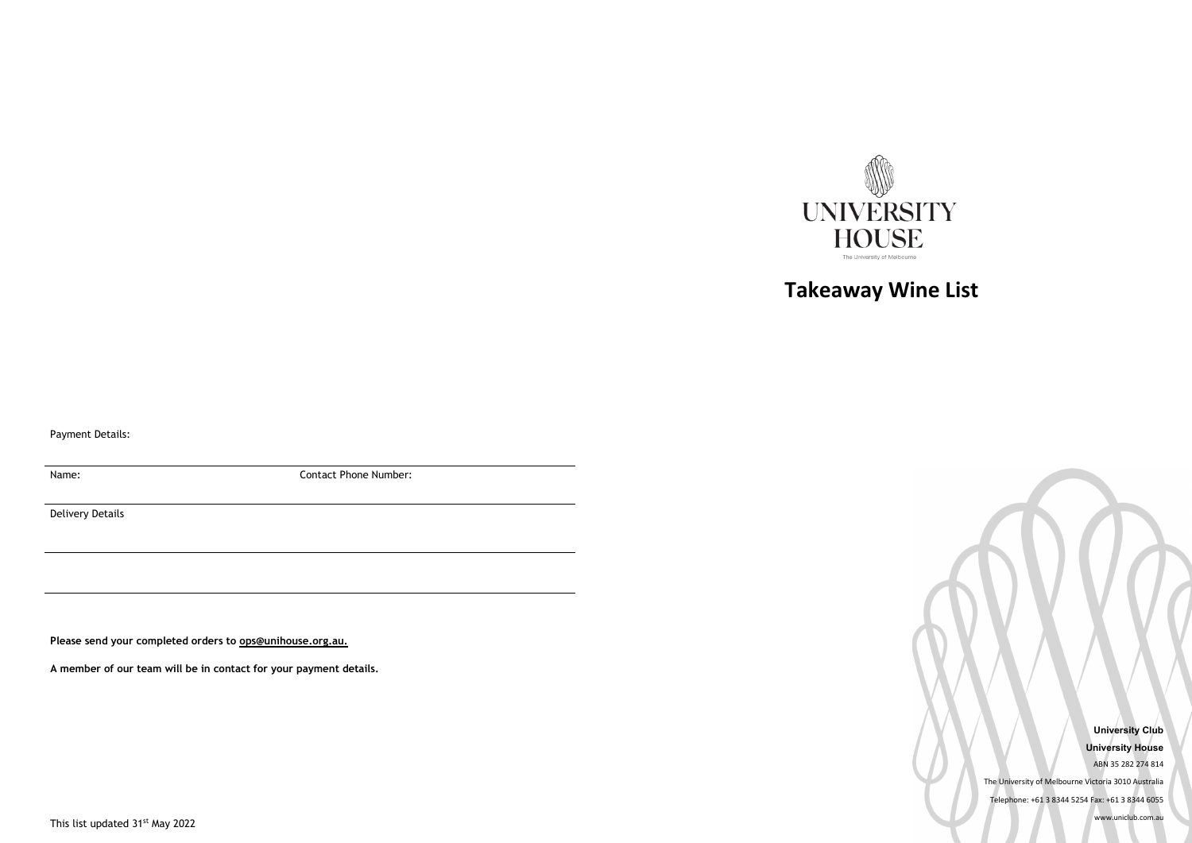**University Club University House** ABN 35 282 274 814 The University of Melbourne Victoria 3010 Australia Telephone: +61 3 8344 5254 Fax: +61 3 8344 6055 www.uniclub.com.au



## **Takeaway Wine List**

Payment Details:

Name: Contact Phone Number:

Delivery Details

**Please send your completed orders to [ops@unihouse.org.au.](mailto:ops@unihouse.org.au)** 

**A member of our team will be in contact for your payment details.**